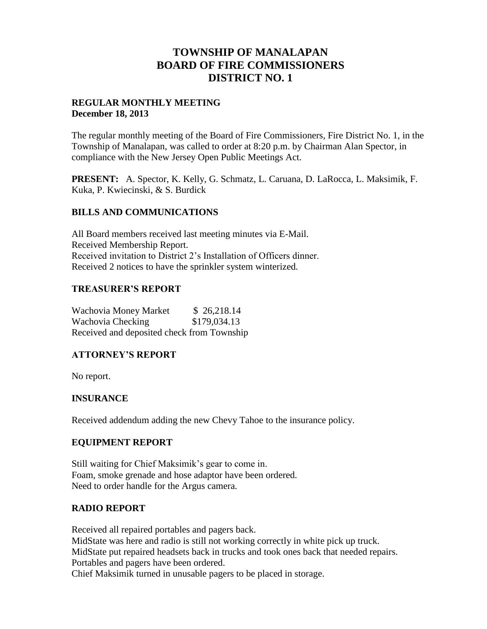# **TOWNSHIP OF MANALAPAN BOARD OF FIRE COMMISSIONERS DISTRICT NO. 1**

# **REGULAR MONTHLY MEETING December 18, 2013**

The regular monthly meeting of the Board of Fire Commissioners, Fire District No. 1, in the Township of Manalapan, was called to order at 8:20 p.m. by Chairman Alan Spector, in compliance with the New Jersey Open Public Meetings Act.

**PRESENT:** A. Spector, K. Kelly, G. Schmatz, L. Caruana, D. LaRocca, L. Maksimik, F. Kuka, P. Kwiecinski, & S. Burdick

# **BILLS AND COMMUNICATIONS**

All Board members received last meeting minutes via E-Mail. Received Membership Report. Received invitation to District 2's Installation of Officers dinner. Received 2 notices to have the sprinkler system winterized.

# **TREASURER'S REPORT**

Wachovia Money Market \$26,218.14 Wachovia Checking \$179,034.13 Received and deposited check from Township

# **ATTORNEY'S REPORT**

No report.

### **INSURANCE**

Received addendum adding the new Chevy Tahoe to the insurance policy.

### **EQUIPMENT REPORT**

Still waiting for Chief Maksimik's gear to come in. Foam, smoke grenade and hose adaptor have been ordered. Need to order handle for the Argus camera.

### **RADIO REPORT**

Received all repaired portables and pagers back. MidState was here and radio is still not working correctly in white pick up truck. MidState put repaired headsets back in trucks and took ones back that needed repairs. Portables and pagers have been ordered. Chief Maksimik turned in unusable pagers to be placed in storage.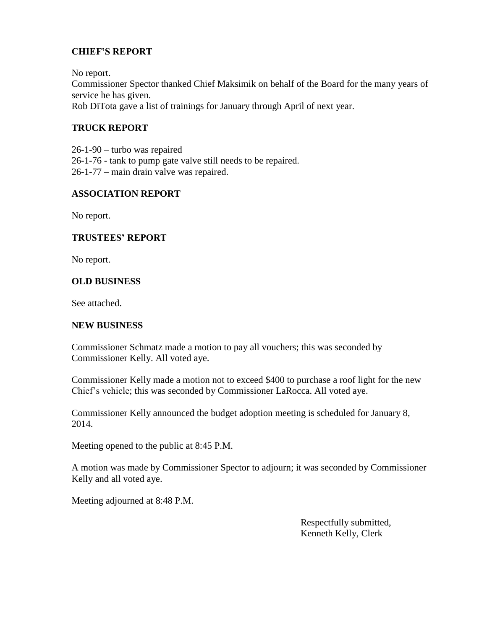# **CHIEF'S REPORT**

No report.

Commissioner Spector thanked Chief Maksimik on behalf of the Board for the many years of service he has given. Rob DiTota gave a list of trainings for January through April of next year.

# **TRUCK REPORT**

26-1-90 – turbo was repaired 26-1-76 - tank to pump gate valve still needs to be repaired. 26-1-77 – main drain valve was repaired.

# **ASSOCIATION REPORT**

No report.

# **TRUSTEES' REPORT**

No report.

# **OLD BUSINESS**

See attached.

### **NEW BUSINESS**

Commissioner Schmatz made a motion to pay all vouchers; this was seconded by Commissioner Kelly. All voted aye.

Commissioner Kelly made a motion not to exceed \$400 to purchase a roof light for the new Chief's vehicle; this was seconded by Commissioner LaRocca. All voted aye.

Commissioner Kelly announced the budget adoption meeting is scheduled for January 8, 2014.

Meeting opened to the public at 8:45 P.M.

A motion was made by Commissioner Spector to adjourn; it was seconded by Commissioner Kelly and all voted aye.

Meeting adjourned at 8:48 P.M.

 Respectfully submitted, Kenneth Kelly, Clerk